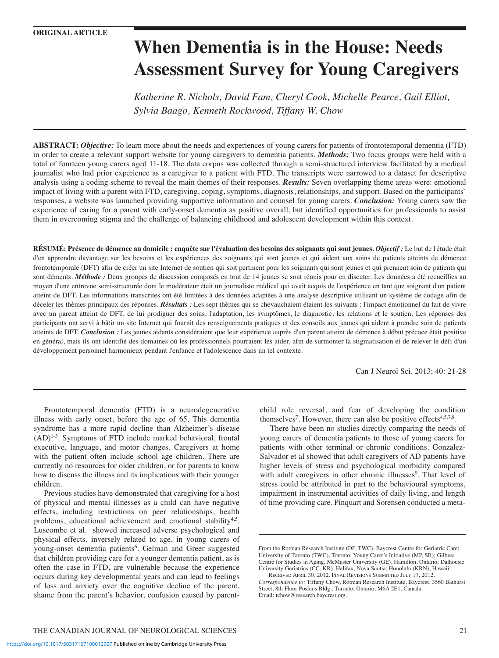# **When Dementia is in the House: Needs Assessment Survey for Young Caregivers**

*Katherine R. Nichols, David Fam, Cheryl Cook, Michelle Pearce, Gail Elliot, Sylvia Baago, Kenneth Rockwood, Tiffany W. Chow*

**ABSTRACT:** *Objective:* To learn more about the needs and experiences of young carers for patients of frontotemporal dementia (FTD) in order to create a relevant support website for young caregivers to dementia patients. *Methods:* Two focus groups were held with a total of fourteen young carers aged 11-18. The data corpus was collected through a semi-structured interview facilitated by a medical journalist who had prior experience as a caregiver to a patient with FTD. The transcripts were narrowed to a dataset for descriptive analysis using a coding scheme to reveal the main themes of their responses. *Results:* Seven overlapping theme areas were: emotional impact of living with a parent with FTD, caregiving, coping, symptoms, diagnosis, relationships, and support. Based on the participants` responses, a website was launched providing supportive information and counsel for young carers. *Conclusion:* Young carers saw the experience of caring for a parent with early-onset dementia as positive overall, but identified opportunities for professionals to assist them in overcoming stigma and the challenge of balancing childhood and adolescent development within this context.

RÉSUMÉ: Présence de démence au domicile : enquête sur l'évaluation des besoins des soignants qui sont jeunes. Objectif : Le but de l'étude était d'en apprendre davantage sur les besoins et les expériences des soignants qui sont jeunes et qui aident aux soins de patients atteints de démence frontotemporale (DFT) afin de créer un site Internet de soutien qui soit pertinent pour les soignants qui sont jeunes et qui prennent soin de patients qui sont déments. *Méthode* : Deux groupes de discussion composés en tout de 14 jeunes se sont réunis pour en discuter. Les données a été recueillies au moyen d'une entrevue semi-structurée dont le modérateur était un journaliste médical qui avait acquis de l'expérience en tant que soignant d'un patient atteint de DFT. Les informations transcrites ont été limitées à des données adaptées à une analyse descriptive utilisant un système de codage afin de déceler les thèmes principaux des réponses. *Résultats :* Les sept thèmes qui se chevauchaient étaient les suivants : l'impact émotionnel du fait de vivre avec un parent atteint de DFT, de lui prodiguer des soins, l'adaptation, les symptômes, le diagnostic, les relations et le soutien. Les réponses des participants ont servi à bâtir un site Internet qui fournit des renseignements pratiques et des conseils aux jeunes qui aident à prendre soin de patients atteints de DFT. *Conclusion :* Les jeunes aidants considéraient que leur expérience auprès d'un parent atteint de démence à début précoce était positive en général, mais ils ont identifié des domaines où les professionnels pourraient les aider, afin de surmonter la stigmatisation et de relever le défi d'un développement personnel harmonieux pendant l'enfance et l'adolescence dans un tel contexte.

Can J Neurol Sci. 2013; 40: 21-28

Frontotemporal dementia (FTD) is a neurodegenerative illness with early onset, before the age of 65. This dementia syndrome has a more rapid decline than Alzheimer's disease  $(AD)^{1-3}$ . Symptoms of FTD include marked behavioral, frontal executive, language, and motor changes. Caregivers at home with the patient often include school age children. There are currently no resources for older children, or for parents to know how to discuss the illness and its implications with their younger children.

Previous studies have demonstrated that caregiving for a host of physical and mental illnesses as a child can have negative effects, including restrictions on peer relationships, health problems, educational achievement and emotional stability<sup>4,5</sup>. Luscombe et al. showed increased adverse psychological and physical effects, inversely related to age, in young carers of young-onset dementia patients<sup>6</sup>. Gelman and Greer suggested that children providing care for a younger dementia patient, as is often the case in FTD, are vulnerable because the experience occurs during key developmental years and can lead to feelings of loss and anxiety over the cognitive decline of the parent, shame from the parent's behavior, confusion caused by parentchild role reversal, and fear of developing the condition themselves<sup>7</sup>. However, there can also be positive effects<sup>4,5,7,8</sup>.

There have been no studies directly comparing the needs of young carers of dementia patients to those of young carers for patients with other terminal or chronic conditions. Gonzalez-Salvador et al showed that adult caregivers of AD patients have higher levels of stress and psychological morbidity compared with adult caregivers in other chronic illnesses<sup>9</sup>. That level of stress could be attributed in part to the behavioural symptoms, impairment in instrumental activities of daily living, and length of time providing care. Pinquart and Sorensen conducted a meta-

From the Rotman Research Institute (DF, TWC), Baycrest Centre for Geriatric Care; University of Toronto (TWC), Toronto; Young Carer's Initiative (MP, SB); Gilbrea Centre for Studies in Aging, McMaster University (GE), Hamilton, Ontario; Dalhousie University Geriatrics (CC, KR), Halifax, Nova Scotia; Honolulu (KRN), Hawaii.

RECEIVED APRIL 30, 2012. FINAL REVISIONS SUBMITTED JULY 17, 2012. *Correspondence to:* Tiffany Chow, Rotman Research Institute, Baycrest, 3560 Bathurst Street, 8th Floor Posluns Bldg., Toronto, Ontario, M6A 2E1, Canada. Email: tchow@research.baycrest.org.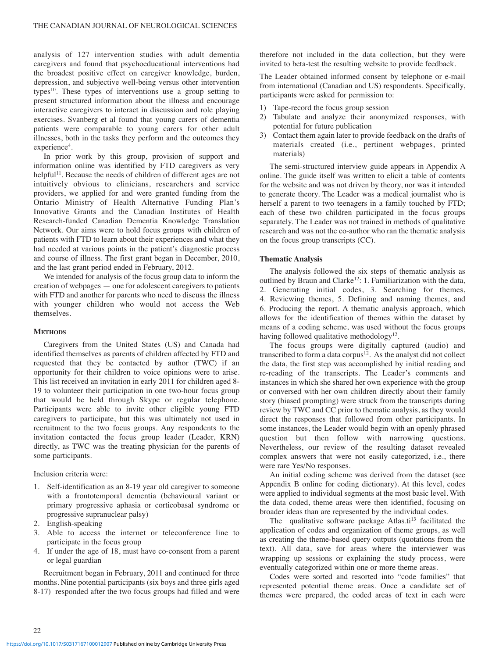analysis of 127 intervention studies with adult dementia caregivers and found that psychoeducational interventions had the broadest positive effect on caregiver knowledge, burden, depression, and subjective well-being versus other intervention types<sup>10</sup>. These types of interventions use a group setting to present structured information about the illness and encourage interactive caregivers to interact in discussion and role playing exercises. Svanberg et al found that young carers of dementia patients were comparable to young carers for other adult illnesses, both in the tasks they perform and the outcomes they experience<sup>4</sup>.

In prior work by this group, provision of support and information online was identified by FTD caregivers as very helpful<sup>11</sup>. Because the needs of children of different ages are not intuitively obvious to clinicians, researchers and service providers, we applied for and were granted funding from the Ontario Ministry of Health Alternative Funding Plan's Innovative Grants and the Canadian Institutes of Health Research-funded Canadian Dementia Knowledge Translation Network. Our aims were to hold focus groups with children of patients with FTD to learn about their experiences and what they had needed at various points in the patient's diagnostic process and course of illness. The first grant began in December, 2010, and the last grant period ended in February, 2012.

We intended for analysis of the focus group data to inform the creation of webpages — one for adolescent caregivers to patients with FTD and another for parents who need to discuss the illness with younger children who would not access the Web themselves.

# **METHODS**

Caregivers from the United States (US) and Canada had identified themselves as parents of children affected by FTD and requested that they be contacted by author (TWC) if an opportunity for their children to voice opinions were to arise. This list received an invitation in early 2011 for children aged 8- 19 to volunteer their participation in one two-hour focus group that would be held through Skype or regular telephone. Participants were able to invite other eligible young FTD caregivers to participate, but this was ultimately not used in recruitment to the two focus groups. Any respondents to the invitation contacted the focus group leader (Leader, KRN) directly, as TWC was the treating physician for the parents of some participants.

Inclusion criteria were:

- 1. Self-identification as an 8-19 year old caregiver to someone with a frontotemporal dementia (behavioural variant or primary progressive aphasia or corticobasal syndrome or progressive supranuclear palsy)
- 2. English-speaking
- 3. Able to access the internet or teleconference line to participate in the focus group
- 4. If under the age of 18, must have co-consent from a parent or legal guardian

Recruitment began in February, 2011 and continued for three months. Nine potential participants (six boys and three girls aged 8-17) responded after the two focus groups had filled and were therefore not included in the data collection, but they were invited to beta-test the resulting website to provide feedback.

The Leader obtained informed consent by telephone or e-mail from international (Canadian and US) respondents. Specifically, participants were asked for permission to:

- 1) Tape-record the focus group session
- 2) Tabulate and analyze their anonymized responses, with potential for future publication
- 3) Contact them again later to provide feedback on the drafts of materials created (i.e., pertinent webpages, printed materials)

The semi-structured interview guide appears in Appendix A online. The guide itself was written to elicit a table of contents for the website and was not driven by theory, nor was it intended to generate theory. The Leader was a medical journalist who is herself a parent to two teenagers in a family touched by FTD; each of these two children participated in the focus groups separately. The Leader was not trained in methods of qualitative research and was not the co-author who ran the thematic analysis on the focus group transcripts (CC).

## **Thematic Analysis**

The analysis followed the six steps of thematic analysis as outlined by Braun and Clarke<sup>12</sup>: 1. Familiarization with the data, 2. Generating initial codes, 3. Searching for themes, 4. Reviewing themes, 5. Defining and naming themes, and 6. Producing the report. A thematic analysis approach, which allows for the identification of themes within the dataset by means of a coding scheme, was used without the focus groups having followed qualitative methodology<sup>12</sup>.

The focus groups were digitally captured (audio) and transcribed to form a data corpus $12$ . As the analyst did not collect the data, the first step was accomplished by initial reading and re-reading of the transcripts. The Leader's comments and instances in which she shared her own experience with the group or conversed with her own children directly about their family story (biased prompting) were struck from the transcripts during review by TWC and CC prior to thematic analysis, as they would direct the responses that followed from other participants. In some instances, the Leader would begin with an openly phrased question but then follow with narrowing questions. Nevertheless, our review of the resulting dataset revealed complex answers that were not easily categorized, i.e., there were rare Yes/No responses.

An initial coding scheme was derived from the dataset (see Appendix B online for coding dictionary). At this level, codes were applied to individual segments at the most basic level. With the data coded, theme areas were then identified, focusing on broader ideas than are represented by the individual codes.

The qualitative software package Atlas.ti<sup>13</sup> facilitated the application of codes and organization of theme groups, as well as creating the theme-based query outputs (quotations from the text). All data, save for areas where the interviewer was wrapping up sessions or explaining the study process, were eventually categorized within one or more theme areas.

Codes were sorted and resorted into "code families" that represented potential theme areas. Once a candidate set of themes were prepared, the coded areas of text in each were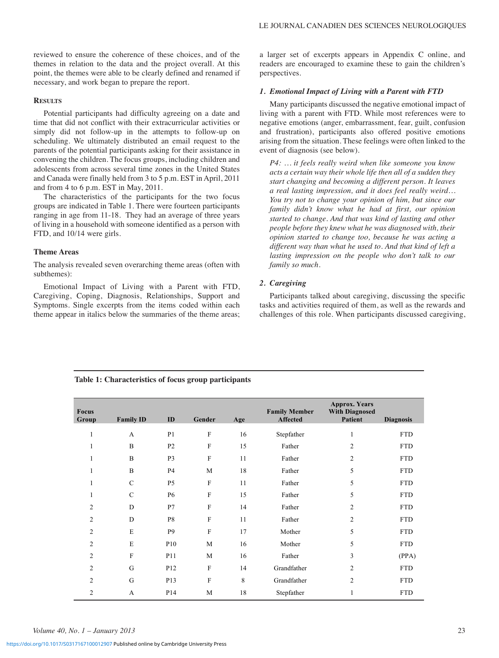reviewed to ensure the coherence of these choices, and of the themes in relation to the data and the project overall. At this point, the themes were able to be clearly defined and renamed if necessary, and work began to prepare the report.

## **RESULTS**

Potential participants had difficulty agreeing on a date and time that did not conflict with their extracurricular activities or simply did not follow-up in the attempts to follow-up on scheduling. We ultimately distributed an email request to the parents of the potential participants asking for their assistance in convening the children. The focus groups, including children and adolescents from across several time zones in the United States and Canada were finally held from 3 to 5 p.m. EST in April, 2011 and from 4 to 6 p.m. EST in May, 2011.

The characteristics of the participants for the two focus groups are indicated in Table 1. There were fourteen participants ranging in age from 11-18. They had an average of three years of living in a household with someone identified as a person with FTD, and 10/14 were girls.

## **Theme Areas**

The analysis revealed seven overarching theme areas (often with subthemes):

Emotional Impact of Living with a Parent with FTD, Caregiving, Coping, Diagnosis, Relationships, Support and Symptoms. Single excerpts from the items coded within each theme appear in italics below the summaries of the theme areas; a larger set of excerpts appears in Appendix C online, and readers are encouraged to examine these to gain the children's perspectives.

## *1. Emotional Impact of Living with a Parent with FTD*

Many participants discussed the negative emotional impact of living with a parent with FTD. While most references were to negative emotions (anger, embarrassment, fear, guilt, confusion and frustration), participants also offered positive emotions arising from the situation. These feelings were often linked to the event of diagnosis (see below).

*P4: … it feels really weird when like someone you know acts a certain way their whole life then all of a sudden they start changing and becoming a different person. It leaves a real lasting impression, and it does feel really weird… You try not to change your opinion of him, but since our family didn't know what he had at first, our opinion started to change. And that was kind of lasting and other people before they knew what he was diagnosed with, their opinion started to change too, because he was acting a different way than what he used to. And that kind of left a lasting impression on the people who don't talk to our family so much.*

# *2. Caregiving*

Participants talked about caregiving, discussing the specific tasks and activities required of them, as well as the rewards and challenges of this role. When participants discussed caregiving,

| <b>Focus</b><br>Group | <b>Family ID</b> | ID              | Gender                    | Age | <b>Family Member</b><br><b>Affected</b> | <b>Approx. Years</b><br><b>With Diagnosed</b><br>Patient | <b>Diagnosis</b> |
|-----------------------|------------------|-----------------|---------------------------|-----|-----------------------------------------|----------------------------------------------------------|------------------|
| 1                     | A                | P <sub>1</sub>  | $\mathbf F$               | 16  | Stepfather                              | 1                                                        | <b>FTD</b>       |
| 1                     | B                | P <sub>2</sub>  | $\boldsymbol{\mathrm{F}}$ | 15  | Father                                  | $\overline{c}$                                           | <b>FTD</b>       |
| 1                     | B                | P <sub>3</sub>  | $\mathbf F$               | 11  | Father                                  | $\mathfrak{2}$                                           | <b>FTD</b>       |
| 1                     | B                | P4              | M                         | 18  | Father                                  | 5                                                        | <b>FTD</b>       |
| 1                     | $\mathcal{C}$    | P <sub>5</sub>  | $\mathbf F$               | 11  | Father                                  | 5                                                        | <b>FTD</b>       |
| 1                     | $\mathcal{C}$    | P6              | $\mathbf F$               | 15  | Father                                  | 5                                                        | <b>FTD</b>       |
| $\overline{2}$        | D                | P7              | $\mathbf F$               | 14  | Father                                  | $\overline{c}$                                           | <b>FTD</b>       |
| $\overline{c}$        | D                | P8              | $\mathbf F$               | 11  | Father                                  | 2                                                        | <b>FTD</b>       |
| $\overline{2}$        | E                | P9              | $\mathbf F$               | 17  | Mother                                  | 5                                                        | <b>FTD</b>       |
| $\overline{2}$        | E                | P <sub>10</sub> | M                         | 16  | Mother                                  | 5                                                        | <b>FTD</b>       |
| $\overline{2}$        | $\mathbf F$      | P11             | M                         | 16  | Father                                  | 3                                                        | (PPA)            |
| $\overline{2}$        | G                | P12             | $\mathbf F$               | 14  | Grandfather                             | $\overline{c}$                                           | <b>FTD</b>       |
| $\overline{2}$        | G                | P13             | $\mathbf F$               | 8   | Grandfather                             | $\overline{c}$                                           | <b>FTD</b>       |
| $\overline{2}$        | A                | P <sub>14</sub> | M                         | 18  | Stepfather                              | 1                                                        | <b>FTD</b>       |
|                       |                  |                 |                           |     |                                         |                                                          |                  |

# **Table 1: Characteristics of focus group participants**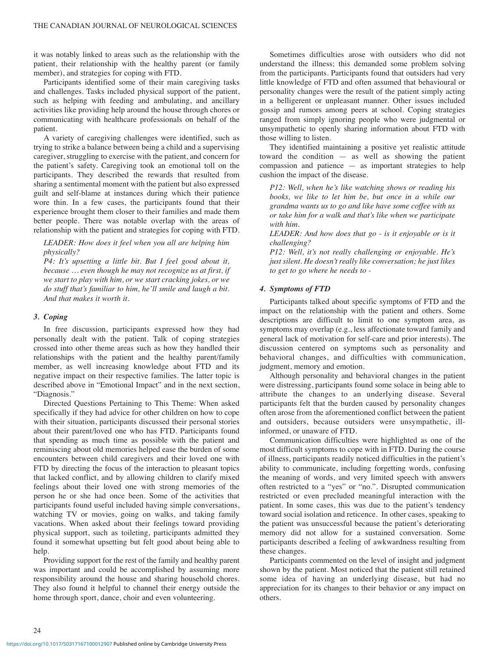it was notably linked to areas such as the relationship with the patient, their relationship with the healthy parent (or family member), and strategies for coping with FTD.

Participants identified some of their main caregiving tasks and challenges. Tasks included physical support of the patient, such as helping with feeding and ambulating, and ancillary activities like providing help around the house through chores or communicating with healthcare professionals on behalf of the patient.

A variety of caregiving challenges were identified, such as trying to strike a balance between being a child and a supervising caregiver, struggling to exercise with the patient, and concern for the patient's safety. Caregiving took an emotional toll on the participants. They described the rewards that resulted from sharing a sentimental moment with the patient but also expressed guilt and self-blame at instances during which their patience wore thin. In a few cases, the participants found that their experience brought them closer to their families and made them better people. There was notable overlap with the areas of relationship with the patient and strategies for coping with FTD.

## *LEADER: How does it feel when you all are helping him physically?*

*P4: It's upsetting a little bit. But I feel good about it, because … even though he may not recognize us at first, if we start to play with him, or we start cracking jokes, or we do stuff that's familiar to him, he'll smile and laugh a bit. And that makes it worth it.*

## *3. Coping*

In free discussion, participants expressed how they had personally dealt with the patient. Talk of coping strategies crossed into other theme areas such as how they handled their relationships with the patient and the healthy parent/family member, as well increasing knowledge about FTD and its negative impact on their respective families. The latter topic is described above in "Emotional Impact" and in the next section, "Diagnosis."

Directed Questions Pertaining to This Theme: When asked specifically if they had advice for other children on how to cope with their situation, participants discussed their personal stories about their parent/loved one who has FTD. Participants found that spending as much time as possible with the patient and reminiscing about old memories helped ease the burden of some encounters between child caregivers and their loved one with FTD by directing the focus of the interaction to pleasant topics that lacked conflict, and by allowing children to clarify mixed feelings about their loved one with strong memories of the person he or she had once been. Some of the activities that participants found useful included having simple conversations, watching TV or movies, going on walks, and taking family vacations. When asked about their feelings toward providing physical support, such as toileting, participants admitted they found it somewhat upsetting but felt good about being able to help.

Providing support for the rest of the family and healthy parent was important and could be accomplished by assuming more responsibility around the house and sharing household chores. They also found it helpful to channel their energy outside the home through sport, dance, choir and even volunteering.

Sometimes difficulties arose with outsiders who did not understand the illness; this demanded some problem solving from the participants. Participants found that outsiders had very little knowledge of FTD and often assumed that behavioural or personality changes were the result of the patient simply acting in a belligerent or unpleasant manner. Other issues included gossip and rumors among peers at school. Coping strategies ranged from simply ignoring people who were judgmental or unsympathetic to openly sharing information about FTD with those willing to listen.

They identified maintaining a positive yet realistic attitude toward the condition — as well as showing the patient compassion and patience — as important strategies to help cushion the impact of the disease.

*P12: Well, when he's like watching shows or reading his books, we like to let him be, but once in a while our grandma wants us to go and like have some coffee with us or take him for a walk and that's like when we participate with him.*

*LEADER: And how does that go - is it enjoyable or is it challenging?*

*P12: Well, it's not really challenging or enjoyable. He's just silent. He doesn't really like conversation; he just likes to get to go where he needs to -*

## *4. Symptoms of FTD*

Participants talked about specific symptoms of FTD and the impact on the relationship with the patient and others. Some descriptions are difficult to limit to one symptom area, as symptoms may overlap (e.g., less affectionate toward family and general lack of motivation for self-care and prior interests). The discussion centered on symptoms such as personality and behavioral changes, and difficulties with communication, judgment, memory and emotion.

Although personality and behavioral changes in the patient were distressing, participants found some solace in being able to attribute the changes to an underlying disease. Several participants felt that the burden caused by personality changes often arose from the aforementioned conflict between the patient and outsiders, because outsiders were unsympathetic, illinformed, or unaware of FTD.

Communication difficulties were highlighted as one of the most difficult symptoms to cope with in FTD. During the course of illness, participants readily noticed difficulties in the patient's ability to communicate, including forgetting words, confusing the meaning of words, and very limited speech with answers often restricted to a "yes" or "no.". Disrupted communication restricted or even precluded meaningful interaction with the patient. In some cases, this was due to the patient's tendency toward social isolation and reticence. In other cases, speaking to the patient was unsuccessful because the patient's deteriorating memory did not allow for a sustained conversation. Some participants described a feeling of awkwardness resulting from these changes.

Participants commented on the level of insight and judgment shown by the patient. Most noticed that the patient still retained some idea of having an underlying disease, but had no appreciation for its changes to their behavior or any impact on others.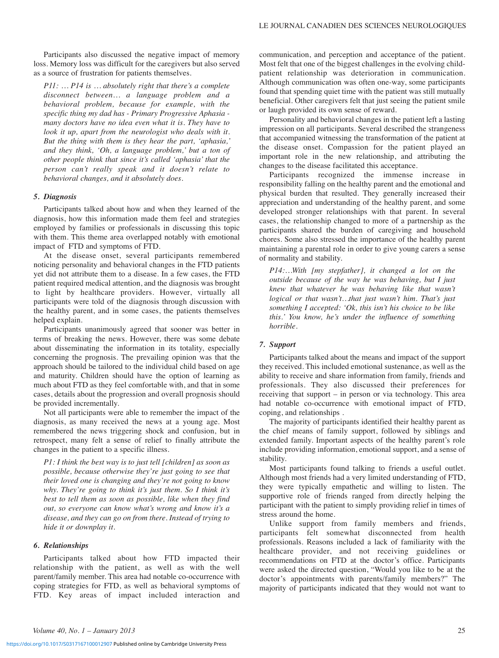Participants also discussed the negative impact of memory loss. Memory loss was difficult for the caregivers but also served as a source of frustration for patients themselves.

*P11: … P14 is … absolutely right that there's a complete disconnect between… a language problem and a behavioral problem, because for example, with the specific thing my dad has - Primary Progressive Aphasia many doctors have no idea even what it is. They have to look it up, apart from the neurologist who deals with it. But the thing with them is they hear the part, 'aphasia,' and they think, 'Oh, a language problem,' but a ton of other people think that since it's called 'aphasia' that the person can't really speak and it doesn't relate to behavioral changes, and it absolutely does.*

#### *5. Diagnosis*

Participants talked about how and when they learned of the diagnosis, how this information made them feel and strategies employed by families or professionals in discussing this topic with them. This theme area overlapped notably with emotional impact of FTD and symptoms of FTD.

At the disease onset, several participants remembered noticing personality and behavioral changes in the FTD patients yet did not attribute them to a disease. In a few cases, the FTD patient required medical attention, and the diagnosis was brought to light by healthcare providers. However, virtually all participants were told of the diagnosis through discussion with the healthy parent, and in some cases, the patients themselves helped explain.

Participants unanimously agreed that sooner was better in terms of breaking the news. However, there was some debate about disseminating the information in its totality, especially concerning the prognosis. The prevailing opinion was that the approach should be tailored to the individual child based on age and maturity. Children should have the option of learning as much about FTD as they feel comfortable with, and that in some cases, details about the progression and overall prognosis should be provided incrementally.

Not all participants were able to remember the impact of the diagnosis, as many received the news at a young age. Most remembered the news triggering shock and confusion, but in retrospect, many felt a sense of relief to finally attribute the changes in the patient to a specific illness.

*P1: I think the best way is to just tell [children] as soon as possible, because otherwise they're just going to see that their loved one is changing and they're not going to know why. They're going to think it's just them. So I think it's best to tell them as soon as possible, like when they find out, so everyone can know what's wrong and know it's a disease, and they can go on from there. Instead of trying to hide it or downplay it.*

#### *6. Relationships*

Participants talked about how FTD impacted their relationship with the patient, as well as with the well parent/family member. This area had notable co-occurrence with coping strategies for FTD, as well as behavioral symptoms of FTD. Key areas of impact included interaction and

communication, and perception and acceptance of the patient. Most felt that one of the biggest challenges in the evolving childpatient relationship was deterioration in communication. Although communication was often one-way, some participants found that spending quiet time with the patient was still mutually beneficial. Other caregivers felt that just seeing the patient smile or laugh provided its own sense of reward.

Personality and behavioral changes in the patient left a lasting impression on all participants. Several described the strangeness that accompanied witnessing the transformation of the patient at the disease onset. Compassion for the patient played an important role in the new relationship, and attributing the changes to the disease facilitated this acceptance.

Participants recognized the immense increase in responsibility falling on the healthy parent and the emotional and physical burden that resulted. They generally increased their appreciation and understanding of the healthy parent, and some developed stronger relationships with that parent. In several cases, the relationship changed to more of a partnership as the participants shared the burden of caregiving and household chores. Some also stressed the importance of the healthy parent maintaining a parental role in order to give young carers a sense of normality and stability.

*P14:…With [my stepfather], it changed a lot on the outside because of the way he was behaving, but I just knew that whatever he was behaving like that wasn't logical or that wasn't…that just wasn't him. That's just something I accepted: 'Ok, this isn't his choice to be like this.' You know, he's under the influence of something horrible.*

### *7. Support*

Participants talked about the means and impact of the support they received. This included emotional sustenance, as well as the ability to receive and share information from family, friends and professionals. They also discussed their preferences for receiving that support – in person or via technology. This area had notable co-occurrence with emotional impact of FTD, coping, and relationships .

The majority of participants identified their healthy parent as the chief means of family support, followed by siblings and extended family. Important aspects of the healthy parent's role include providing information, emotional support, and a sense of stability.

Most participants found talking to friends a useful outlet. Although most friends had a very limited understanding of FTD, they were typically empathetic and willing to listen. The supportive role of friends ranged from directly helping the participant with the patient to simply providing relief in times of stress around the home.

Unlike support from family members and friends, participants felt somewhat disconnected from health professionals. Reasons included a lack of familiarity with the healthcare provider, and not receiving guidelines or recommendations on FTD at the doctor's office. Participants were asked the directed question, "Would you like to be at the doctor's appointments with parents/family members?" The majority of participants indicated that they would not want to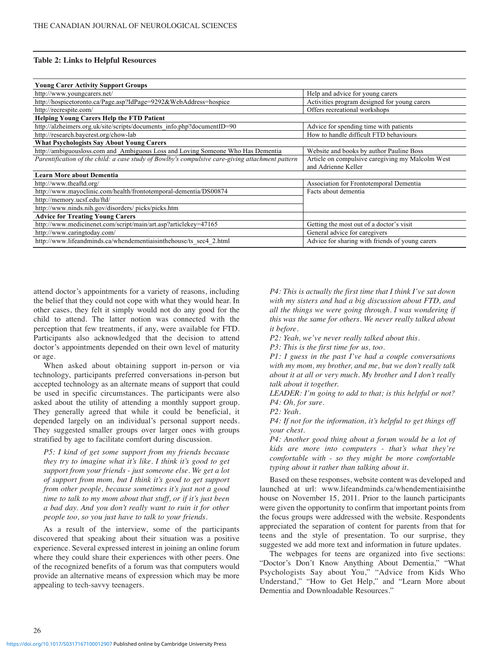# **Table 2: Links to Helpful Resources**

| <b>Young Carer Activity Support Groups</b>                                                       |                                                  |  |  |  |  |  |  |
|--------------------------------------------------------------------------------------------------|--------------------------------------------------|--|--|--|--|--|--|
| http://www.youngcarers.net/                                                                      | Help and advice for young carers                 |  |  |  |  |  |  |
| http://hospicetoronto.ca/Page.asp?IdPage=9292&WebAddress=hospice                                 | Activities program designed for young carers     |  |  |  |  |  |  |
| http://recrespite.com/                                                                           | Offers recreational workshops                    |  |  |  |  |  |  |
| <b>Helping Young Carers Help the FTD Patient</b>                                                 |                                                  |  |  |  |  |  |  |
| http://alzheimers.org.uk/site/scripts/documents_info.php?documentID=90                           | Advice for spending time with patients           |  |  |  |  |  |  |
| http://research.baycrest.org/chow-lab                                                            | How to handle difficult FTD behaviours           |  |  |  |  |  |  |
| <b>What Psychologists Say About Young Carers</b>                                                 |                                                  |  |  |  |  |  |  |
| http://ambiguousloss.com and Ambiguous Loss and Loving Someone Who Has Dementia                  | Website and books by author Pauline Boss         |  |  |  |  |  |  |
| Parentification of the child: a case study of Bowlby's compulsive care-giving attachment pattern | Article on compulsive caregiving my Malcolm West |  |  |  |  |  |  |
|                                                                                                  | and Adrienne Keller                              |  |  |  |  |  |  |
| <b>Learn More about Dementia</b>                                                                 |                                                  |  |  |  |  |  |  |
| http://www.theaftd.org/                                                                          | Association for Frontotemporal Dementia          |  |  |  |  |  |  |
| http://www.mayoclinic.com/health/frontotemporal-dementia/DS00874                                 | Facts about dementia                             |  |  |  |  |  |  |
| http://memory.ucsf.edu/ftd/                                                                      |                                                  |  |  |  |  |  |  |
| http://www.ninds.nih.gov/disorders/ picks/picks.htm                                              |                                                  |  |  |  |  |  |  |
| <b>Advice for Treating Young Carers</b>                                                          |                                                  |  |  |  |  |  |  |
| http://www.medicinenet.com/script/main/art.asp?articlekey=47165                                  | Getting the most out of a doctor's visit         |  |  |  |  |  |  |
| http://www.caringtoday.com/                                                                      | General advice for caregivers                    |  |  |  |  |  |  |
| http://www.lifeandminds.ca/whendementiaisinthehouse/ts sec4 2.html                               | Advice for sharing with friends of young carers  |  |  |  |  |  |  |

attend doctor's appointments for a variety of reasons, including the belief that they could not cope with what they would hear. In other cases, they felt it simply would not do any good for the child to attend. The latter notion was connected with the perception that few treatments, if any, were available for FTD. Participants also acknowledged that the decision to attend doctor's appointments depended on their own level of maturity or age.

When asked about obtaining support in-person or via technology, participants preferred conversations in-person but accepted technology as an alternate means of support that could be used in specific circumstances. The participants were also asked about the utility of attending a monthly support group. They generally agreed that while it could be beneficial, it depended largely on an individual's personal support needs. They suggested smaller groups over larger ones with groups stratified by age to facilitate comfort during discussion.

*P5: I kind of get some support from my friends because they try to imagine what it's like. I think it's good to get support from your friends - just someone else. We get a lot of support from mom, but I think it's good to get support from other people, because sometimes it's just not a good time to talk to my mom about that stuff, or if it's just been a bad day. And you don't really want to ruin it for other people too, so you just have to talk to your friends.*

As a result of the interview, some of the participants discovered that speaking about their situation was a positive experience. Several expressed interest in joining an online forum where they could share their experiences with other peers. One of the recognized benefits of a forum was that computers would provide an alternative means of expression which may be more appealing to tech-savvy teenagers.

*P4: This is actually the first time that I think I've sat down with my sisters and had a big discussion about FTD, and all the things we were going through. I was wondering if this was the same for others. We never really talked about it before.*

*P2: Yeah, we've never really talked about this.*

*P3: This is the first time for us, too.*

*P1: I guess in the past I've had a couple conversations with my mom, my brother, and me, but we don't really talk about it at all or very much. My brother and I don't really talk about it together.*

*LEADER: I'm going to add to that; is this helpful or not? P4: Oh, for sure.*

*P2: Yeah.*

*P4: If not for the information, it's helpful to get things off your chest.*

*P4: Another good thing about a forum would be a lot of kids are more into computers - that's what they're comfortable with - so they might be more comfortable typing about it rather than talking about it.*

Based on these responses, website content was developed and launched at url: www.lifeandminds.ca/whendementiaisinthe house on November 15, 2011. Prior to the launch participants were given the opportunity to confirm that important points from the focus groups were addressed with the website. Respondents appreciated the separation of content for parents from that for teens and the style of presentation. To our surprise, they suggested we add more text and information in future updates.

The webpages for teens are organized into five sections: "Doctor's Don't Know Anything About Dementia," "What Psychologists Say about You," "Advice from Kids Who Understand," "How to Get Help," and "Learn More about Dementia and Downloadable Resources."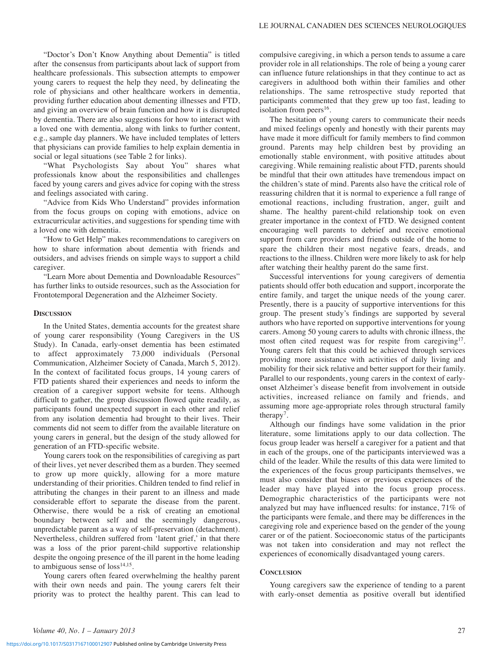"Doctor's Don't Know Anything about Dementia" is titled after the consensus from participants about lack of support from healthcare professionals. This subsection attempts to empower young carers to request the help they need, by delineating the role of physicians and other healthcare workers in dementia, providing further education about dementing illnesses and FTD, and giving an overview of brain function and how it is disrupted by dementia. There are also suggestions for how to interact with a loved one with dementia, along with links to further content, e.g., sample day planners. We have included templates of letters that physicians can provide families to help explain dementia in social or legal situations (see Table 2 for links).

"What Psychologists Say about You" shares what professionals know about the responsibilities and challenges faced by young carers and gives advice for coping with the stress and feelings associated with caring.

"Advice from Kids Who Understand" provides information from the focus groups on coping with emotions, advice on extracurricular activities, and suggestions for spending time with a loved one with dementia.

"How to Get Help" makes recommendations to caregivers on how to share information about dementia with friends and outsiders, and advises friends on simple ways to support a child caregiver.

"Learn More about Dementia and Downloadable Resources" has further links to outside resources, such as the Association for Frontotemporal Degeneration and the Alzheimer Society.

## **DISCUSSION**

In the United States, dementia accounts for the greatest share of young carer responsibility (Young Caregivers in the US Study). In Canada, early-onset dementia has been estimated to affect approximately 73,000 individuals (Personal Communication, Alzheimer Society of Canada, March 5, 2012). In the context of facilitated focus groups, 14 young carers of FTD patients shared their experiences and needs to inform the creation of a caregiver support website for teens. Although difficult to gather, the group discussion flowed quite readily, as participants found unexpected support in each other and relief from any isolation dementia had brought to their lives. Their comments did not seem to differ from the available literature on young carers in general, but the design of the study allowed for generation of an FTD-specific website.

Young carers took on the responsibilities of caregiving as part of their lives, yet never described them as a burden. They seemed to grow up more quickly, allowing for a more mature understanding of their priorities. Children tended to find relief in attributing the changes in their parent to an illness and made considerable effort to separate the disease from the parent. Otherwise, there would be a risk of creating an emotional boundary between self and the seemingly dangerous, unpredictable parent as a way of self-preservation (detachment). Nevertheless, children suffered from 'latent grief,' in that there was a loss of the prior parent-child supportive relationship despite the ongoing presence of the ill parent in the home leading to ambiguous sense of  $loss<sup>14,15</sup>$ .

Young carers often feared overwhelming the healthy parent with their own needs and pain. The young carers felt their priority was to protect the healthy parent. This can lead to

compulsive caregiving, in which a person tends to assume a care provider role in all relationships. The role of being a young carer can influence future relationships in that they continue to act as caregivers in adulthood both within their families and other relationships. The same retrospective study reported that participants commented that they grew up too fast, leading to isolation from peers<sup>16</sup>.

The hesitation of young carers to communicate their needs and mixed feelings openly and honestly with their parents may have made it more difficult for family members to find common ground. Parents may help children best by providing an emotionally stable environment, with positive attitudes about caregiving. While remaining realistic about FTD, parents should be mindful that their own attitudes have tremendous impact on the children's state of mind. Parents also have the critical role of reassuring children that it is normal to experience a full range of emotional reactions, including frustration, anger, guilt and shame. The healthy parent-child relationship took on even greater importance in the context of FTD. We designed content encouraging well parents to debrief and receive emotional support from care providers and friends outside of the home to spare the children their most negative fears, dreads, and reactions to the illness. Children were more likely to ask for help after watching their healthy parent do the same first.

Successful interventions for young caregivers of dementia patients should offer both education and support, incorporate the entire family, and target the unique needs of the young carer. Presently, there is a paucity of supportive interventions for this group. The present study's findings are supported by several authors who have reported on supportive interventions for young carers. Among 50 young carers to adults with chronic illness, the most often cited request was for respite from caregiving<sup>17</sup>. Young carers felt that this could be achieved through services providing more assistance with activities of daily living and mobility for their sick relative and better support for their family. Parallel to our respondents, young carers in the context of earlyonset Alzheimer's disease benefit from involvement in outside activities, increased reliance on family and friends, and assuming more age-appropriate roles through structural family therapy<sup>7</sup>.

Although our findings have some validation in the prior literature, some limitations apply to our data collection. The focus group leader was herself a caregiver for a patient and that in each of the groups, one of the participants interviewed was a child of the leader. While the results of this data were limited to the experiences of the focus group participants themselves, we must also consider that biases or previous experiences of the leader may have played into the focus group process. Demographic characteristics of the participants were not analyzed but may have influenced results: for instance, 71% of the participants were female, and there may be differences in the caregiving role and experience based on the gender of the young carer or of the patient. Socioeconomic status of the participants was not taken into consideration and may not reflect the experiences of economically disadvantaged young carers.

#### **CONCLUSION**

Young caregivers saw the experience of tending to a parent with early-onset dementia as positive overall but identified